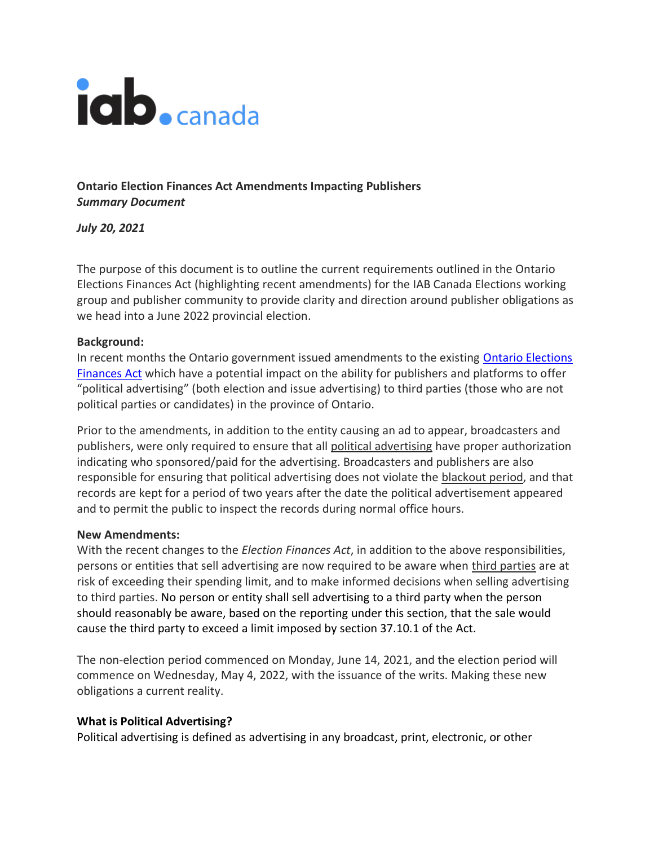# iab.canada

**Ontario Election Finances Act Amendments Impacting Publishers** *Summary Document*

*July 20, 2021*

The purpose of this document is to outline the current requirements outlined in the Ontario Elections Finances Act (highlighting recent amendments) for the IAB Canada Elections working group and publisher community to provide clarity and direction around publisher obligations as we head into a June 2022 provincial election.

### **Background:**

In recent months the Ontario government issued amendments to the existing [Ontario Elections](https://www.ontario.ca/laws/statute/90e07)  [Finances Act](https://www.ontario.ca/laws/statute/90e07) which have a potential impact on the ability for publishers and platforms to offer "political advertising" (both election and issue advertising) to third parties (those who are not political parties or candidates) in the province of Ontario.

Prior to the amendments, in addition to the entity causing an ad to appear, broadcasters and publishers, were only required to ensure that all [political advertising](https://www.elections.on.ca/en/political-entities-in-ontario/political-advertising.html) have proper authorization indicating who sponsored/paid for the advertising. Broadcasters and publishers are also responsible for ensuring that political advertising does not violate the [blackout period,](https://www.elections.on.ca/en/political-entities-in-ontario/political-advertising.html#accordion32) and that records are kept for a period of two years after the date the political advertisement appeared and to permit the public to inspect the records during normal office hours.

#### **New Amendments:**

With the recent changes to the *Election Finances Act*, in addition to the above responsibilities, persons or entities that sell advertising are now required to be aware when [third parties](https://www.elections.on.ca/en/political-entities-in-ontario/third-parties.html) are at risk of exceeding their spending limit, and to make informed decisions when selling advertising to third parties. No person or entity shall sell advertising to a third party when the person should reasonably be aware, based on the reporting under this section, that the sale would cause the third party to exceed a limit imposed by section 37.10.1 of the Act.

The non-election period commenced on Monday, June 14, 2021, and the election period will commence on Wednesday, May 4, 2022, with the issuance of the writs. Making these new obligations a current reality.

## **What is Political Advertising?**

Political advertising is defined as advertising in any broadcast, print, electronic, or other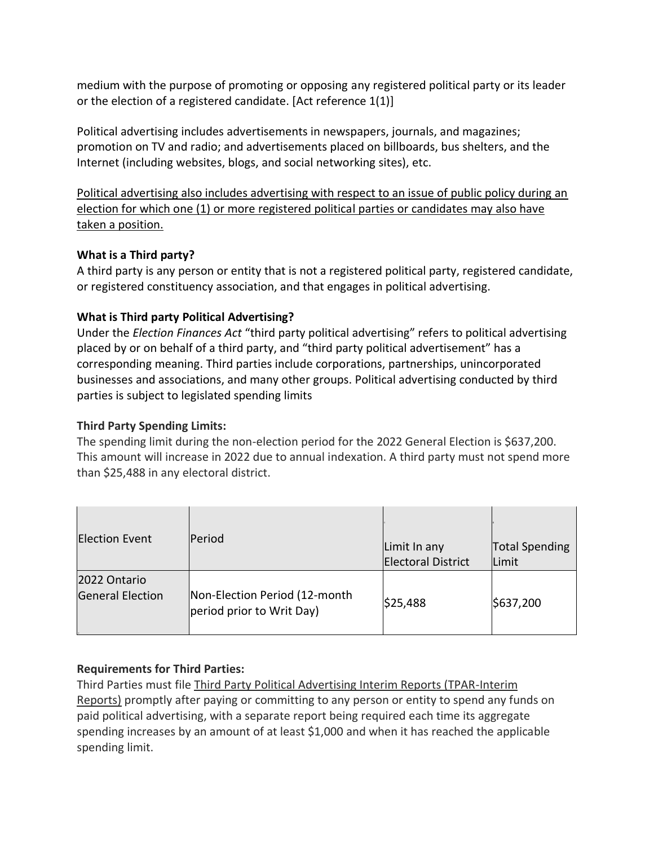medium with the purpose of promoting or opposing any registered political party or its leader or the election of a registered candidate. [Act reference 1(1)]

Political advertising includes advertisements in newspapers, journals, and magazines; promotion on TV and radio; and advertisements placed on billboards, bus shelters, and the Internet (including websites, blogs, and social networking sites), etc.

Political advertising also includes advertising with respect to an issue of public policy during an election for which one (1) or more registered political parties or candidates may also have taken a position.

## **What is a Third party?**

A third party is any person or entity that is not a registered political party, registered candidate, or registered constituency association, and that engages in political advertising.

# **What is Third party Political Advertising?**

Under the *Election Finances Act* "third party political advertising" refers to political advertising placed by or on behalf of a third party, and "third party political advertisement" has a corresponding meaning. Third parties include corporations, partnerships, unincorporated businesses and associations, and many other groups. Political advertising conducted by third parties is subject to legislated spending limits

## **Third Party Spending Limits:**

The spending limit during the non-election period for the 2022 General Election is \$637,200. This amount will increase in 2022 due to annual indexation. A third party must not spend more than \$25,488 in any electoral district.

| <b>Election Event</b>                   | <b>Period</b>                                              | Limit In any<br><b>Electoral District</b> | <b>Total Spending</b><br>Limit |
|-----------------------------------------|------------------------------------------------------------|-------------------------------------------|--------------------------------|
| 2022 Ontario<br><b>General Election</b> | Non-Election Period (12-month<br>period prior to Writ Day) | \$25,488                                  | \$637,200                      |

## **Requirements for Third Parties:**

Third Parties must file [Third Party Political Advertising Interim Reports \(TPAR-Interim](https://www.elections.on.ca/en/political-entities-in-ontario/third-parties/third-party-political-advertising-interim-reports.html)  [Reports\)](https://www.elections.on.ca/en/political-entities-in-ontario/third-parties/third-party-political-advertising-interim-reports.html) promptly after paying or committing to any person or entity to spend any funds on paid political advertising, with a separate report being required each time its aggregate spending increases by an amount of at least \$1,000 and when it has reached the applicable spending limit.